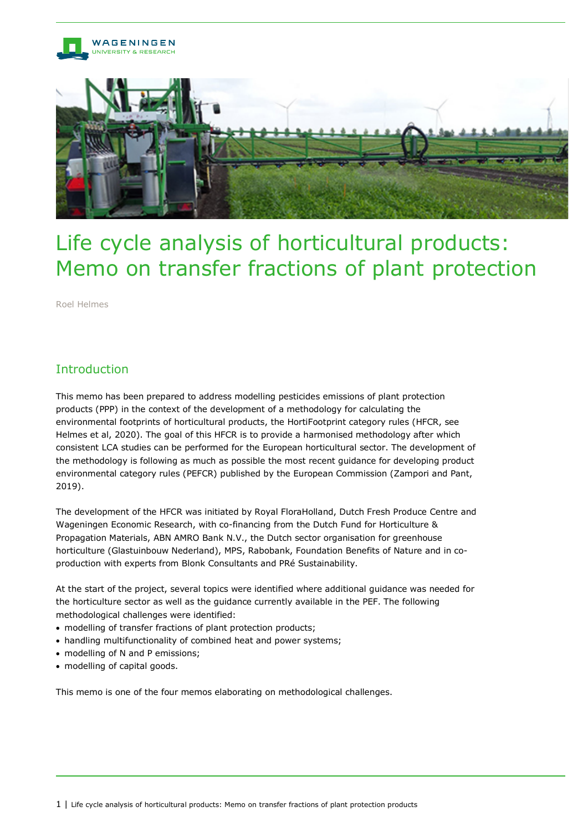

# Life cycle analysis of horticultural products: Memo on transfer fractions of plant protection

Roel Helmes

## Introduction

This memo has been prepared to address modelling pesticides emissions of plant protection products (PPP) in the context of the development of a methodology for calculating the environmental footprints of horticultural products, the HortiFootprint category rules (HFCR, see Helmes et al, 2020). The goal of this HFCR is to provide a harmonised methodology after which consistent LCA studies can be performed for the European horticultural sector. The development of the methodology is following as much as possible the most recent guidance for developing product environmental category rules (PEFCR) published by the European Commission (Zampori and Pant, 2019).

The development of the HFCR was initiated by Royal FloraHolland, Dutch Fresh Produce Centre and Wageningen Economic Research, with co-financing from the Dutch Fund for Horticulture & Propagation Materials, ABN AMRO Bank N.V., the Dutch sector organisation for greenhouse horticulture (Glastuinbouw Nederland), MPS, Rabobank, Foundation Benefits of Nature and in coproduction with experts from Blonk Consultants and PRé Sustainability.

At the start of the project, several topics were identified where additional guidance was needed for the horticulture sector as well as the guidance currently available in the PEF. The following methodological challenges were identified:

- modelling of transfer fractions of plant protection products;
- handling multifunctionality of combined heat and power systems;
- modelling of N and P emissions;
- modelling of capital goods.

This memo is one of the four memos elaborating on methodological challenges.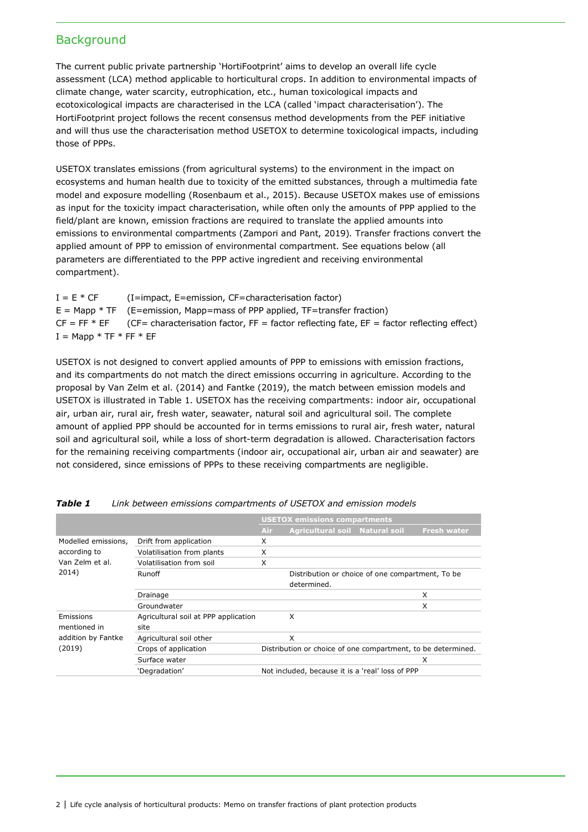## **Background**

The current public private partnership 'HortiFootprint' aims to develop an overall life cycle assessment (LCA) method applicable to horticultural crops. In addition to environmental impacts of climate change, water scarcity, eutrophication, etc., human toxicological impacts and ecotoxicological impacts are characterised in the LCA (called 'impact characterisation'). The HortiFootprint project follows the recent consensus method developments from the PEF initiative and will thus use the characterisation method USETOX to determine toxicological impacts, including those of PPPs.

USETOX translates emissions (from agricultural systems) to the environment in the impact on ecosystems and human health due to toxicity of the emitted substances, through a multimedia fate model and exposure modelling (Rosenbaum et al., 2015). Because USETOX makes use of emissions as input for the toxicity impact characterisation, while often only the amounts of PPP applied to the field/plant are known, emission fractions are required to translate the applied amounts into emissions to environmental compartments (Zampori and Pant, 2019)*.* Transfer fractions convert the applied amount of PPP to emission of environmental compartment. See equations below (all parameters are differentiated to the PPP active ingredient and receiving environmental compartment).

 $I = E * CF$  (I=impact, E=emission, CF=characterisation factor)  $E = Map * TF$  (E=emission, Mapp=mass of PPP applied, TF=transfer fraction)  $CF = FF * EF$  (CF= characterisation factor, FF = factor reflecting fate, EF = factor reflecting effect)  $I = Mapp * TF * FF * EF$ 

USETOX is not designed to convert applied amounts of PPP to emissions with emission fractions, and its compartments do not match the direct emissions occurring in agriculture. According to the proposal by Van Zelm et al. (2014) and Fantke (2019), the match between emission models and USETOX is illustrated in Table 1. USETOX has the receiving compartments: indoor air, occupational air, urban air, rural air, fresh water, seawater, natural soil and agricultural soil. The complete amount of applied PPP should be accounted for in terms emissions to rural air, fresh water, natural soil and agricultural soil, while a loss of short-term degradation is allowed. Characterisation factors for the remaining receiving compartments (indoor air, occupational air, urban air and seawater) are not considered, since emissions of PPPs to these receiving compartments are negligible.

|                                                                 |                                      | <b>USETOX emissions compartments</b> |                                                              |  |                    |  |
|-----------------------------------------------------------------|--------------------------------------|--------------------------------------|--------------------------------------------------------------|--|--------------------|--|
|                                                                 |                                      | Air                                  | Agricultural soil Natural soil                               |  | <b>Fresh water</b> |  |
| Modelled emissions,<br>according to<br>Van Zelm et al.<br>2014) | Drift from application               | X                                    |                                                              |  |                    |  |
|                                                                 | Volatilisation from plants           | X                                    |                                                              |  |                    |  |
|                                                                 | Volatilisation from soil             | X                                    |                                                              |  |                    |  |
|                                                                 | Runoff                               |                                      | Distribution or choice of one compartment, To be             |  |                    |  |
|                                                                 |                                      |                                      | determined.                                                  |  |                    |  |
|                                                                 | Drainage                             |                                      |                                                              |  | X                  |  |
|                                                                 | Groundwater                          |                                      |                                                              |  | X                  |  |
| Emissions                                                       | Agricultural soil at PPP application |                                      | X                                                            |  |                    |  |
| mentioned in<br>addition by Fantke<br>(2019)                    | site                                 |                                      |                                                              |  |                    |  |
|                                                                 | Agricultural soil other              |                                      | X                                                            |  |                    |  |
|                                                                 | Crops of application                 |                                      | Distribution or choice of one compartment, to be determined. |  |                    |  |
|                                                                 | Surface water                        |                                      |                                                              |  | x                  |  |
|                                                                 | 'Degradation'                        |                                      | Not included, because it is a 'real' loss of PPP             |  |                    |  |

| <b>Table 1</b> |  |  | Link between emissions compartments of USETOX and emission models |  |  |  |
|----------------|--|--|-------------------------------------------------------------------|--|--|--|
|----------------|--|--|-------------------------------------------------------------------|--|--|--|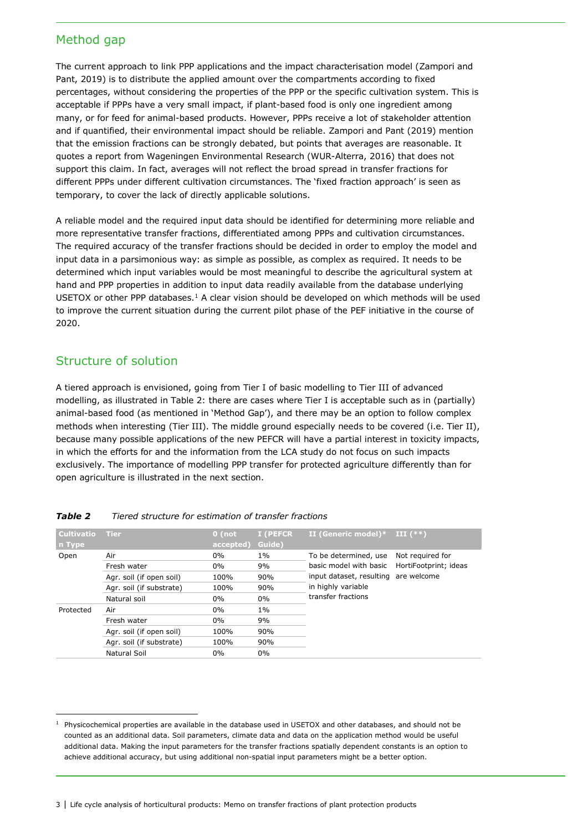## Method gap

The current approach to link PPP applications and the impact characterisation model (Zampori and Pant, 2019) is to distribute the applied amount over the compartments according to fixed percentages, without considering the properties of the PPP or the specific cultivation system. This is acceptable if PPPs have a very small impact, if plant-based food is only one ingredient among many, or for feed for animal-based products. However, PPPs receive a lot of stakeholder attention and if quantified, their environmental impact should be reliable. Zampori and Pant (2019) mention that the emission fractions can be strongly debated, but points that averages are reasonable. It quotes a report from Wageningen Environmental Research (WUR-Alterra, 2016) that does not support this claim. In fact, averages will not reflect the broad spread in transfer fractions for different PPPs under different cultivation circumstances. The 'fixed fraction approach' is seen as temporary, to cover the lack of directly applicable solutions.

A reliable model and the required input data should be identified for determining more reliable and more representative transfer fractions, differentiated among PPPs and cultivation circumstances. The required accuracy of the transfer fractions should be decided in order to employ the model and input data in a parsimonious way: as simple as possible, as complex as required. It needs to be determined which input variables would be most meaningful to describe the agricultural system at hand and PPP properties in addition to input data readily available from the database underlying USETOX or other PPP databases.[1](#page-2-0) A clear vision should be developed on which methods will be used to improve the current situation during the current pilot phase of the PEF initiative in the course of 2020.

## Structure of solution

A tiered approach is envisioned, going from Tier I of basic modelling to Tier III of advanced modelling, as illustrated in Table 2: there are cases where Tier I is acceptable such as in (partially) animal-based food (as mentioned in 'Method Gap'), and there may be an option to follow complex methods when interesting (Tier III). The middle ground especially needs to be covered (i.e. Tier II), because many possible applications of the new PEFCR will have a partial interest in toxicity impacts, in which the efforts for and the information from the LCA study do not focus on such impacts exclusively. The importance of modelling PPP transfer for protected agriculture differently than for open agriculture is illustrated in the next section.

| <b>Cultivatio</b><br>n Type | <b>Tier</b>              | $0$ (not<br>accepted) | I (PEFCR<br>Guide) | II (Generic model)*                          | $\mathbf{III}$ (**) |  |
|-----------------------------|--------------------------|-----------------------|--------------------|----------------------------------------------|---------------------|--|
| Open                        | Air                      | $0\%$                 | $1\%$              | To be determined, use                        | Not required for    |  |
|                             | Fresh water              | $0\%$                 | 9%                 | basic model with basic HortiFootprint; ideas |                     |  |
|                             | Agr. soil (if open soil) | 100%                  | 90%                | input dataset, resulting are welcome         |                     |  |
|                             | Agr. soil (if substrate) | 100%                  | 90%                | in highly variable                           |                     |  |
|                             | Natural soil             | $0\%$                 | $0\%$              | transfer fractions                           |                     |  |
| Protected                   | Air                      | $0\%$                 | $1\%$              |                                              |                     |  |
|                             | Fresh water              | $0\%$                 | 9%                 |                                              |                     |  |
|                             | Agr. soil (if open soil) | 100%                  | 90%                |                                              |                     |  |
|                             | Agr. soil (if substrate) | 100%                  | 90%                |                                              |                     |  |
|                             | Natural Soil             | $0\%$                 | 0%                 |                                              |                     |  |

#### *Table 2 Tiered structure for estimation of transfer fractions*

<span id="page-2-0"></span> <sup>1</sup> Physicochemical properties are available in the database used in USETOX and other databases, and should not be counted as an additional data. Soil parameters, climate data and data on the application method would be useful additional data. Making the input parameters for the transfer fractions spatially dependent constants is an option to achieve additional accuracy, but using additional non-spatial input parameters might be a better option.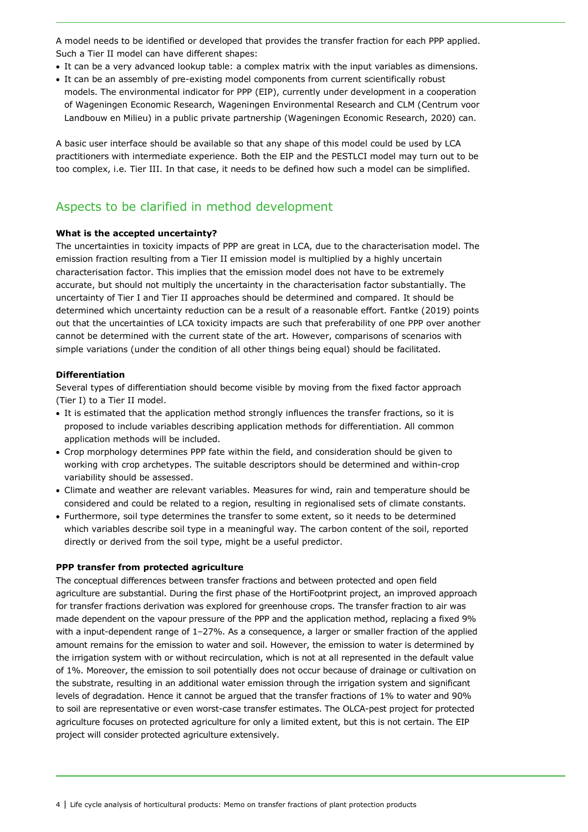A model needs to be identified or developed that provides the transfer fraction for each PPP applied. Such a Tier II model can have different shapes:

- It can be a very advanced lookup table: a complex matrix with the input variables as dimensions.
- It can be an assembly of pre-existing model components from current scientifically robust
- models. The environmental indicator for PPP (EIP), currently under development in a cooperation of Wageningen Economic Research, Wageningen Environmental Research and CLM (Centrum voor Landbouw en Milieu) in a public private partnership (Wageningen Economic Research, 2020) can.

A basic user interface should be available so that any shape of this model could be used by LCA practitioners with intermediate experience. Both the EIP and the PESTLCI model may turn out to be too complex, i.e. Tier III. In that case, it needs to be defined how such a model can be simplified.

## Aspects to be clarified in method development

#### **What is the accepted uncertainty?**

The uncertainties in toxicity impacts of PPP are great in LCA, due to the characterisation model. The emission fraction resulting from a Tier II emission model is multiplied by a highly uncertain characterisation factor. This implies that the emission model does not have to be extremely accurate, but should not multiply the uncertainty in the characterisation factor substantially. The uncertainty of Tier I and Tier II approaches should be determined and compared. It should be determined which uncertainty reduction can be a result of a reasonable effort. Fantke (2019) points out that the uncertainties of LCA toxicity impacts are such that preferability of one PPP over another cannot be determined with the current state of the art. However, comparisons of scenarios with simple variations (under the condition of all other things being equal) should be facilitated.

#### **Differentiation**

Several types of differentiation should become visible by moving from the fixed factor approach (Tier I) to a Tier II model.

- It is estimated that the application method strongly influences the transfer fractions, so it is proposed to include variables describing application methods for differentiation. All common application methods will be included.
- Crop morphology determines PPP fate within the field, and consideration should be given to working with crop archetypes. The suitable descriptors should be determined and within-crop variability should be assessed.
- Climate and weather are relevant variables. Measures for wind, rain and temperature should be considered and could be related to a region, resulting in regionalised sets of climate constants.
- Furthermore, soil type determines the transfer to some extent, so it needs to be determined which variables describe soil type in a meaningful way. The carbon content of the soil, reported directly or derived from the soil type, might be a useful predictor.

#### **PPP transfer from protected agriculture**

The conceptual differences between transfer fractions and between protected and open field agriculture are substantial. During the first phase of the HortiFootprint project, an improved approach for transfer fractions derivation was explored for greenhouse crops. The transfer fraction to air was made dependent on the vapour pressure of the PPP and the application method, replacing a fixed 9% with a input-dependent range of 1–27%. As a consequence, a larger or smaller fraction of the applied amount remains for the emission to water and soil. However, the emission to water is determined by the irrigation system with or without recirculation, which is not at all represented in the default value of 1%. Moreover, the emission to soil potentially does not occur because of drainage or cultivation on the substrate, resulting in an additional water emission through the irrigation system and significant levels of degradation. Hence it cannot be argued that the transfer fractions of 1% to water and 90% to soil are representative or even worst-case transfer estimates. The OLCA-pest project for protected agriculture focuses on protected agriculture for only a limited extent, but this is not certain. The EIP project will consider protected agriculture extensively.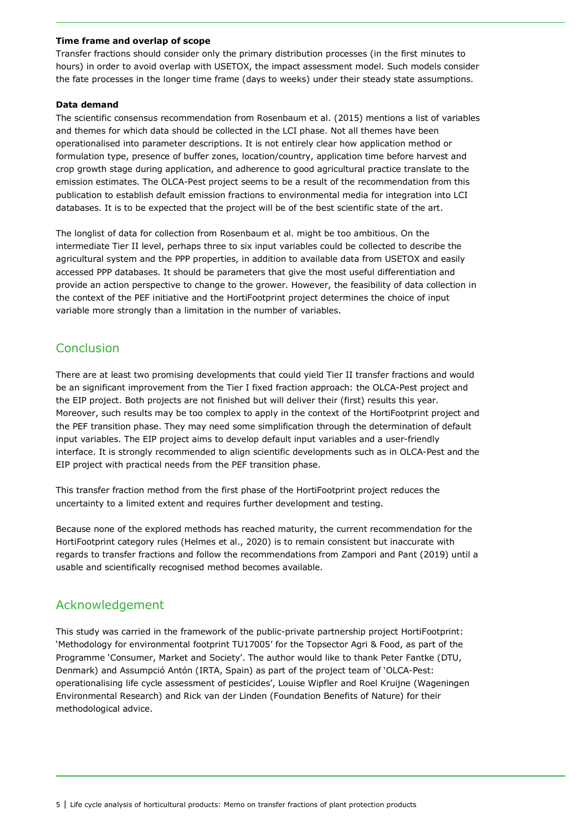#### **Time frame and overlap of scope**

Transfer fractions should consider only the primary distribution processes (in the first minutes to hours) in order to avoid overlap with USETOX, the impact assessment model. Such models consider the fate processes in the longer time frame (days to weeks) under their steady state assumptions.

#### **Data demand**

The scientific consensus recommendation from Rosenbaum et al. (2015) mentions a list of variables and themes for which data should be collected in the LCI phase. Not all themes have been operationalised into parameter descriptions. It is not entirely clear how application method or formulation type, presence of buffer zones, location/country, application time before harvest and crop growth stage during application, and adherence to good agricultural practice translate to the emission estimates. The OLCA-Pest project seems to be a result of the recommendation from this publication to establish default emission fractions to environmental media for integration into LCI databases. It is to be expected that the project will be of the best scientific state of the art.

The longlist of data for collection from Rosenbaum et al. might be too ambitious. On the intermediate Tier II level, perhaps three to six input variables could be collected to describe the agricultural system and the PPP properties, in addition to available data from USETOX and easily accessed PPP databases. It should be parameters that give the most useful differentiation and provide an action perspective to change to the grower. However, the feasibility of data collection in the context of the PEF initiative and the HortiFootprint project determines the choice of input variable more strongly than a limitation in the number of variables.

## Conclusion

There are at least two promising developments that could yield Tier II transfer fractions and would be an significant improvement from the Tier I fixed fraction approach: the OLCA-Pest project and the EIP project. Both projects are not finished but will deliver their (first) results this year. Moreover, such results may be too complex to apply in the context of the HortiFootprint project and the PEF transition phase. They may need some simplification through the determination of default input variables. The EIP project aims to develop default input variables and a user-friendly interface. It is strongly recommended to align scientific developments such as in OLCA-Pest and the EIP project with practical needs from the PEF transition phase.

This transfer fraction method from the first phase of the HortiFootprint project reduces the uncertainty to a limited extent and requires further development and testing.

Because none of the explored methods has reached maturity, the current recommendation for the HortiFootprint category rules (Helmes et al., 2020) is to remain consistent but inaccurate with regards to transfer fractions and follow the recommendations from Zampori and Pant (2019) until a usable and scientifically recognised method becomes available.

## Acknowledgement

This study was carried in the framework of the public-private partnership project HortiFootprint: 'Methodology for environmental footprint TU17005' for the Topsector Agri & Food, as part of the Programme 'Consumer, Market and Society'. The author would like to thank Peter Fantke (DTU, Denmark) and Assumpció Antón (IRTA, Spain) as part of the project team of 'OLCA-Pest: operationalising life cycle assessment of pesticides', Louise Wipfler and Roel Kruijne (Wageningen Environmental Research) and Rick van der Linden (Foundation Benefits of Nature) for their methodological advice.